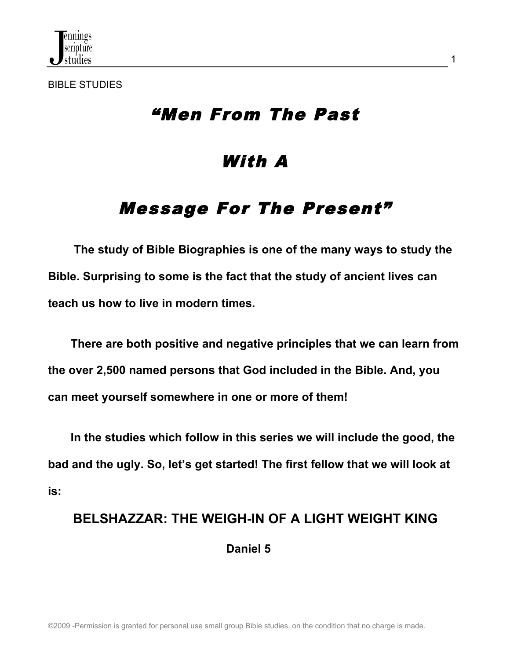

BIBLE STUDIES

## "Men From The Past

## With A

# Message For The Present"

 **The study of Bible Biographies is one of the many ways to study the Bible. Surprising to some is the fact that the study of ancient lives can teach us how to live in modern times.** 

 **There are both positive and negative principles that we can learn from the over 2,500 named persons that God included in the Bible. And, you can meet yourself somewhere in one or more of them!**

 **In the studies which follow in this series we will include the good, the bad and the ugly. So, let's get started! The first fellow that we will look at is:**

# **BELSHAZZAR: THE WEIGH-IN OF A LIGHT WEIGHT KING Daniel 5**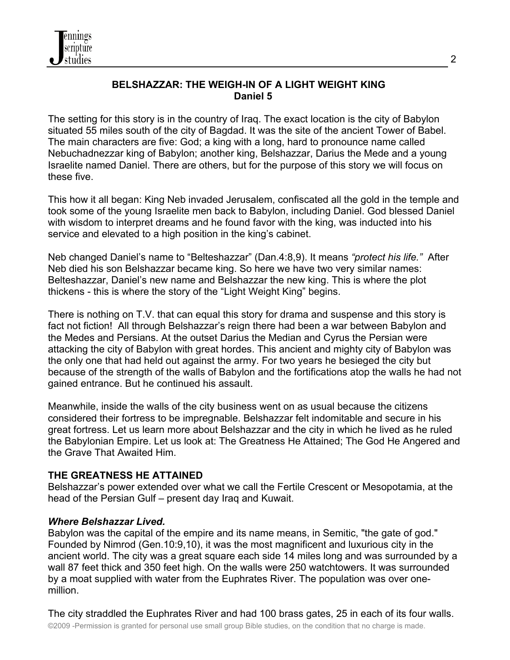

#### **BELSHAZZAR: THE WEIGH-IN OF A LIGHT WEIGHT KING Daniel 5**

The setting for this story is in the country of Iraq. The exact location is the city of Babylon situated 55 miles south of the city of Bagdad. It was the site of the ancient Tower of Babel. The main characters are five: God; a king with a long, hard to pronounce name called Nebuchadnezzar king of Babylon; another king, Belshazzar, Darius the Mede and a young Israelite named Daniel. There are others, but for the purpose of this story we will focus on these five.

This how it all began: King Neb invaded Jerusalem, confiscated all the gold in the temple and took some of the young Israelite men back to Babylon, including Daniel. God blessed Daniel with wisdom to interpret dreams and he found favor with the king, was inducted into his service and elevated to a high position in the king's cabinet.

Neb changed Daniel's name to "Belteshazzar" (Dan.4:8,9). It means *"protect his life."* After Neb died his son Belshazzar became king. So here we have two very similar names: Belteshazzar, Daniel's new name and Belshazzar the new king. This is where the plot thickens - this is where the story of the "Light Weight King" begins.

There is nothing on T.V. that can equal this story for drama and suspense and this story is fact not fiction! All through Belshazzar's reign there had been a war between Babylon and the Medes and Persians. At the outset Darius the Median and Cyrus the Persian were attacking the city of Babylon with great hordes. This ancient and mighty city of Babylon was the only one that had held out against the army. For two years he besieged the city but because of the strength of the walls of Babylon and the fortifications atop the walls he had not gained entrance. But he continued his assault.

Meanwhile, inside the walls of the city business went on as usual because the citizens considered their fortress to be impregnable. Belshazzar felt indomitable and secure in his great fortress. Let us learn more about Belshazzar and the city in which he lived as he ruled the Babylonian Empire. Let us look at: The Greatness He Attained; The God He Angered and the Grave That Awaited Him.

#### **THE GREATNESS HE ATTAINED**

Belshazzar's power extended over what we call the Fertile Crescent or Mesopotamia, at the head of the Persian Gulf – present day Iraq and Kuwait.

#### *Where Belshazzar Lived.*

Babylon was the capital of the empire and its name means, in Semitic, "the gate of god." Founded by Nimrod (Gen.10:9,10), it was the most magnificent and luxurious city in the ancient world. The city was a great square each side 14 miles long and was surrounded by a wall 87 feet thick and 350 feet high. On the walls were 250 watchtowers. It was surrounded by a moat supplied with water from the Euphrates River. The population was over onemillion.

©2009 -Permission is granted for personal use small group Bible studies, on the condition that no charge is made. The city straddled the Euphrates River and had 100 brass gates, 25 in each of its four walls.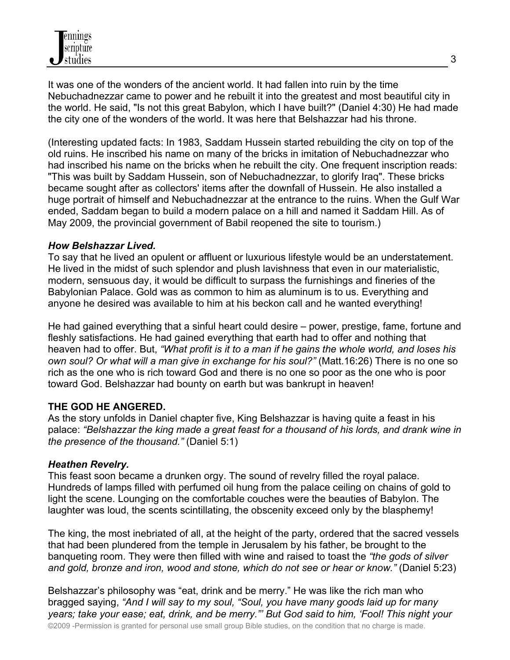It was one of the wonders of the ancient world. It had fallen into ruin by the time Nebuchadnezzar came to power and he rebuilt it into the greatest and most beautiful city in the world. He said, "Is not this great Babylon, which I have built?" (Daniel 4:30) He had made the city one of the wonders of the world. It was here that Belshazzar had his throne.

(Interesting updated facts: In 1983, Saddam Hussein started rebuilding the city on top of the old ruins. He inscribed his name on many of the bricks in imitation of Nebuchadnezzar who had inscribed his name on the bricks when he rebuilt the city. One frequent inscription reads: "This was built by Saddam Hussein, son of Nebuchadnezzar, to glorify Iraq". These bricks became sought after as collectors' items after the downfall of Hussein. He also installed a huge portrait of himself and Nebuchadnezzar at the entrance to the ruins. When the Gulf War ended, Saddam began to build a modern palace on a hill and named it Saddam Hill. As of May 2009, the provincial government of Babil reopened the site to tourism.)

#### *How Belshazzar Lived.*

To say that he lived an opulent or affluent or luxurious lifestyle would be an understatement. He lived in the midst of such splendor and plush lavishness that even in our materialistic, modern, sensuous day, it would be difficult to surpass the furnishings and fineries of the Babylonian Palace. Gold was as common to him as aluminum is to us. Everything and anyone he desired was available to him at his beckon call and he wanted everything!

He had gained everything that a sinful heart could desire – power, prestige, fame, fortune and fleshly satisfactions. He had gained everything that earth had to offer and nothing that heaven had to offer. But, *"What profit is it to a man if he gains the whole world, and loses his own soul? Or what will a man give in exchange for his soul?"* (Matt.16:26) There is no one so rich as the one who is rich toward God and there is no one so poor as the one who is poor toward God. Belshazzar had bounty on earth but was bankrupt in heaven!

#### **THE GOD HE ANGERED.**

As the story unfolds in Daniel chapter five, King Belshazzar is having quite a feast in his palace: *"Belshazzar the king made a great feast for a thousand of his lords, and drank wine in the presence of the thousand."* (Daniel 5:1)

#### *Heathen Revelry.*

This feast soon became a drunken orgy. The sound of revelry filled the royal palace. Hundreds of lamps filled with perfumed oil hung from the palace ceiling on chains of gold to light the scene. Lounging on the comfortable couches were the beauties of Babylon. The laughter was loud, the scents scintillating, the obscenity exceed only by the blasphemy!

The king, the most inebriated of all, at the height of the party, ordered that the sacred vessels that had been plundered from the temple in Jerusalem by his father, be brought to the banqueting room. They were then filled with wine and raised to toast the *"the gods of silver and gold, bronze and iron, wood and stone, which do not see or hear or know."* (Daniel 5:23)

©2009 -Permission is granted for personal use small group Bible studies, on the condition that no charge is made. Belshazzar's philosophy was "eat, drink and be merry." He was like the rich man who bragged saying, *"And I will say to my soul, "Soul, you have many goods laid up for many years; take your ease; eat, drink, and be merry."' But God said to him, 'Fool! This night your*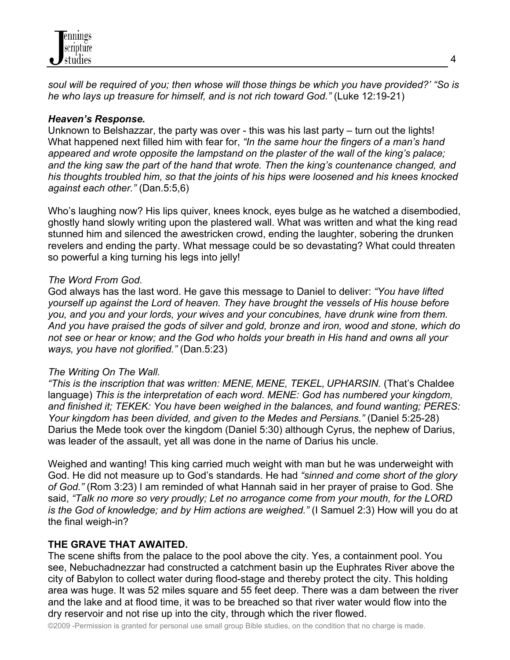

*soul will be required of you; then whose will those things be which you have provided?' "So is he who lays up treasure for himself, and is not rich toward God."* (Luke 12:19-21)

#### *Heaven's Response.*

Unknown to Belshazzar, the party was over - this was his last party – turn out the lights! What happened next filled him with fear for, *"In the same hour the fingers of a man's hand appeared and wrote opposite the lampstand on the plaster of the wall of the king's palace; and the king saw the part of the hand that wrote. Then the king's countenance changed, and his thoughts troubled him, so that the joints of his hips were loosened and his knees knocked against each other."* (Dan.5:5,6)

Who's laughing now? His lips quiver, knees knock, eyes bulge as he watched a disembodied, ghostly hand slowly writing upon the plastered wall. What was written and what the king read stunned him and silenced the awestricken crowd, ending the laughter, sobering the drunken revelers and ending the party. What message could be so devastating? What could threaten so powerful a king turning his legs into jelly!

#### *The Word From God.*

God always has the last word. He gave this message to Daniel to deliver: *"You have lifted yourself up against the Lord of heaven. They have brought the vessels of His house before you, and you and your lords, your wives and your concubines, have drunk wine from them. And you have praised the gods of silver and gold, bronze and iron, wood and stone, which do not see or hear or know; and the God who holds your breath in His hand and owns all your ways, you have not glorified."* (Dan.5:23)

#### *The Writing On The Wall.*

*"This is the inscription that was written: MENE, MENE, TEKEL, UPHARSIN.* (That's Chaldee language) *This is the interpretation of each word. MENE: God has numbered your kingdom, and finished it; TEKEK: You have been weighed in the balances, and found wanting; PERES: Your kingdom has been divided, and given to the Medes and Persians."* (Daniel 5:25-28) Darius the Mede took over the kingdom (Daniel 5:30) although Cyrus, the nephew of Darius, was leader of the assault, yet all was done in the name of Darius his uncle.

Weighed and wanting! This king carried much weight with man but he was underweight with God. He did not measure up to God's standards. He had *"sinned and come short of the glory of God."* (Rom 3:23) I am reminded of what Hannah said in her prayer of praise to God. She said, *"Talk no more so very proudly; Let no arrogance come from your mouth, for the LORD is the God of knowledge; and by Him actions are weighed."* (I Samuel 2:3) How will you do at the final weigh-in?

#### **THE GRAVE THAT AWAITED.**

The scene shifts from the palace to the pool above the city. Yes, a containment pool. You see, Nebuchadnezzar had constructed a catchment basin up the Euphrates River above the city of Babylon to collect water during flood-stage and thereby protect the city. This holding area was huge. It was 52 miles square and 55 feet deep. There was a dam between the river and the lake and at flood time, it was to be breached so that river water would flow into the dry reservoir and not rise up into the city, through which the river flowed.

©2009 -Permission is granted for personal use small group Bible studies, on the condition that no charge is made.